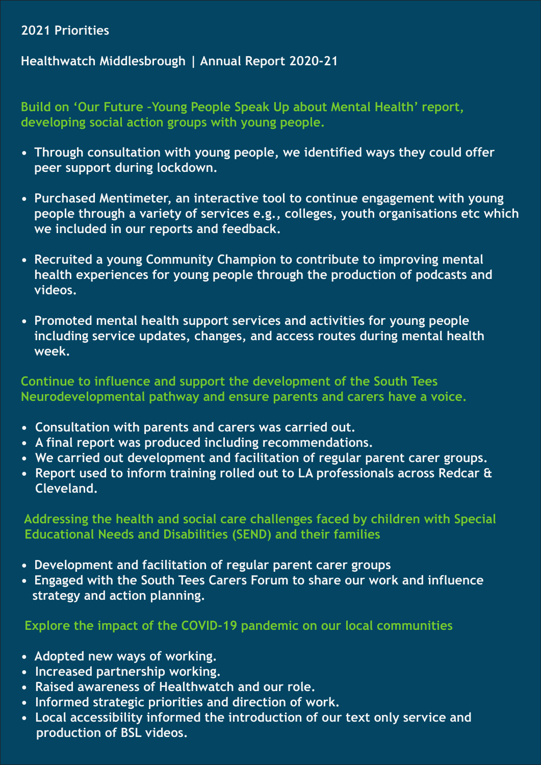# **2021 Priorities**

# **Healthwatch Middlesbrough | Annual Report 2020-21**

**Build on 'Our Future –Young People Speak Up about Mental Health' report, developing social action groups with young people.**

- **Through consultation with young people, we identified ways they could offer peer support during lockdown.**
- **Purchased Mentimeter, an interactive tool to continue engagement with young people through a variety of services e.g., colleges, youth organisations etc which we included in our reports and feedback.**
- **Recruited a young Community Champion to contribute to improving mental health experiences for young people through the production of podcasts and videos.**
- **Promoted mental health support services and activities for young people including service updates, changes, and access routes during mental health week.**

# **Continue to influence and support the development of the South Tees Neurodevelopmental pathway and ensure parents and carers have a voice.**

- **Consultation with parents and carers was carried out.**
- **A final report was produced including recommendations.**
- **We carried out development and facilitation of regular parent carer groups.**
- **Report used to inform training rolled out to LA professionals across Redcar & Cleveland.**

 **Addressing the health and social care challenges faced by children with Special Educational Needs and Disabilities (SEND) and their families**

- **Development and facilitation of regular parent carer groups**
- **Engaged with the South Tees Carers Forum to share our work and influence strategy and action planning.**

# **Explore the impact of the COVID-19 pandemic on our local communities**

- **Adopted new ways of working.**
- **Increased partnership working.**
- **Raised awareness of Healthwatch and our role.**
- **Informed strategic priorities and direction of work.**
- **Local accessibility informed the introduction of our text only service and production of BSL videos.**